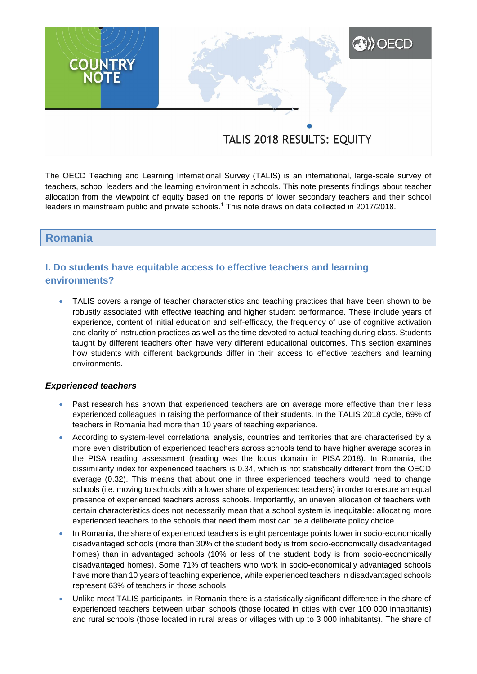# **A) OECD COUNTRY**<br>NOTE

# TALIS 2018 RESULTS: EQUITY

The OECD Teaching and Learning International Survey (TALIS) is an international, large-scale survey of teachers, school leaders and the learning environment in schools. This note presents findings about teacher allocation from the viewpoint of equity based on the reports of lower secondary teachers and their school leaders in mainstream public and private schools.<sup>1</sup> This note draws on data collected in 2017/2018.

## **Romania**

# **I. Do students have equitable access to effective teachers and learning environments?**

 TALIS covers a range of teacher characteristics and teaching practices that have been shown to be robustly associated with effective teaching and higher student performance. These include years of experience, content of initial education and self-efficacy, the frequency of use of cognitive activation and clarity of instruction practices as well as the time devoted to actual teaching during class. Students taught by different teachers often have very different educational outcomes. This section examines how students with different backgrounds differ in their access to effective teachers and learning environments.

#### *Experienced teachers*

- Past research has shown that experienced teachers are on average more effective than their less experienced colleagues in raising the performance of their students. In the TALIS 2018 cycle, 69% of teachers in Romania had more than 10 years of teaching experience.
- According to system-level correlational analysis, countries and territories that are characterised by a more even distribution of experienced teachers across schools tend to have higher average scores in the PISA reading assessment (reading was the focus domain in PISA 2018). In Romania, the dissimilarity index for experienced teachers is 0.34, which is not statistically different from the OECD average (0.32). This means that about one in three experienced teachers would need to change schools (i.e. moving to schools with a lower share of experienced teachers) in order to ensure an equal presence of experienced teachers across schools. Importantly, an uneven allocation of teachers with certain characteristics does not necessarily mean that a school system is inequitable: allocating more experienced teachers to the schools that need them most can be a deliberate policy choice.
- In Romania, the share of experienced teachers is eight percentage points lower in socio-economically disadvantaged schools (more than 30% of the student body is from socio-economically disadvantaged homes) than in advantaged schools (10% or less of the student body is from socio-economically disadvantaged homes). Some 71% of teachers who work in socio-economically advantaged schools have more than 10 years of teaching experience, while experienced teachers in disadvantaged schools represent 63% of teachers in those schools.
- Unlike most TALIS participants, in Romania there is a statistically significant difference in the share of experienced teachers between urban schools (those located in cities with over 100 000 inhabitants) and rural schools (those located in rural areas or villages with up to 3 000 inhabitants). The share of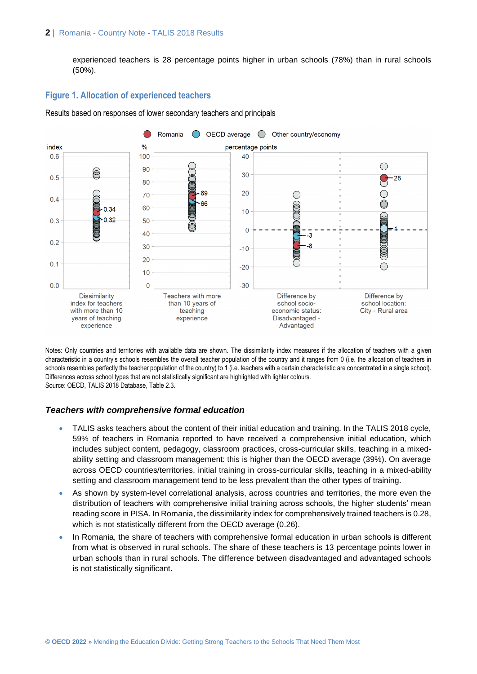#### **2** | Romania - Country Note - TALIS 2018 Results

experienced teachers is 28 percentage points higher in urban schools (78%) than in rural schools (50%).

#### **Figure 1. Allocation of experienced teachers**

Results based on responses of lower secondary teachers and principals



Notes: Only countries and territories with available data are shown. The dissimilarity index measures if the allocation of teachers with a given characteristic in a country's schools resembles the overall teacher population of the country and it ranges from 0 (i.e. the allocation of teachers in schools resembles perfectly the teacher population of the country) to 1 (i.e. teachers with a certain characteristic are concentrated in a single school). Differences across school types that are not statistically significant are highlighted with lighter colours. Source: OECD, TALIS 2018 Database, Table 2.3.

#### *Teachers with comprehensive formal education*

- TALIS asks teachers about the content of their initial education and training. In the TALIS 2018 cycle, 59% of teachers in Romania reported to have received a comprehensive initial education, which includes subject content, pedagogy, classroom practices, cross-curricular skills, teaching in a mixedability setting and classroom management: this is higher than the OECD average (39%). On average across OECD countries/territories, initial training in cross-curricular skills, teaching in a mixed-ability setting and classroom management tend to be less prevalent than the other types of training.
- As shown by system-level correlational analysis, across countries and territories, the more even the distribution of teachers with comprehensive initial training across schools, the higher students' mean reading score in PISA. In Romania, the dissimilarity index for comprehensively trained teachers is 0.28, which is not statistically different from the OECD average (0.26).
- In Romania, the share of teachers with comprehensive formal education in urban schools is different from what is observed in rural schools. The share of these teachers is 13 percentage points lower in urban schools than in rural schools. The difference between disadvantaged and advantaged schools is not statistically significant.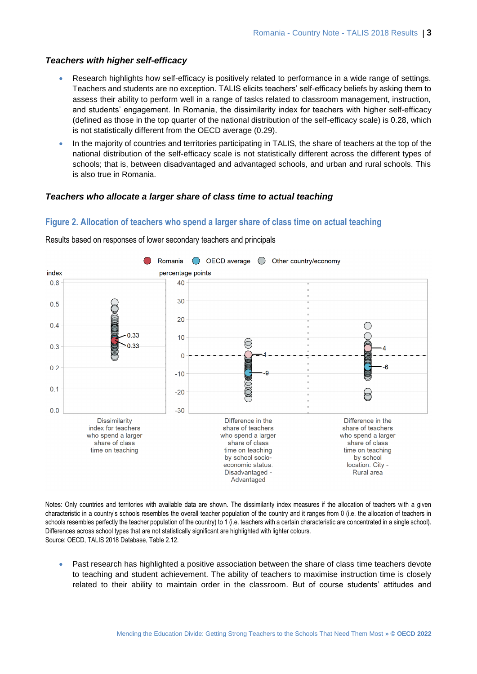#### *Teachers with higher self-efficacy*

- Research highlights how self-efficacy is positively related to performance in a wide range of settings. Teachers and students are no exception. TALIS elicits teachers' self-efficacy beliefs by asking them to assess their ability to perform well in a range of tasks related to classroom management, instruction, and students' engagement. In Romania, the dissimilarity index for teachers with higher self-efficacy (defined as those in the top quarter of the national distribution of the self-efficacy scale) is 0.28, which is not statistically different from the OECD average (0.29).
- In the majority of countries and territories participating in TALIS, the share of teachers at the top of the national distribution of the self-efficacy scale is not statistically different across the different types of schools; that is, between disadvantaged and advantaged schools, and urban and rural schools. This is also true in Romania.

#### *Teachers who allocate a larger share of class time to actual teaching*

#### **Figure 2. Allocation of teachers who spend a larger share of class time on actual teaching**



Results based on responses of lower secondary teachers and principals

Notes: Only countries and territories with available data are shown. The dissimilarity index measures if the allocation of teachers with a given characteristic in a country's schools resembles the overall teacher population of the country and it ranges from 0 (i.e. the allocation of teachers in schools resembles perfectly the teacher population of the country) to 1 (i.e. teachers with a certain characteristic are concentrated in a single school). Differences across school types that are not statistically significant are highlighted with lighter colours. Source: OECD, TALIS 2018 Database, Table 2.12.

• Past research has highlighted a positive association between the share of class time teachers devote to teaching and student achievement. The ability of teachers to maximise instruction time is closely related to their ability to maintain order in the classroom. But of course students' attitudes and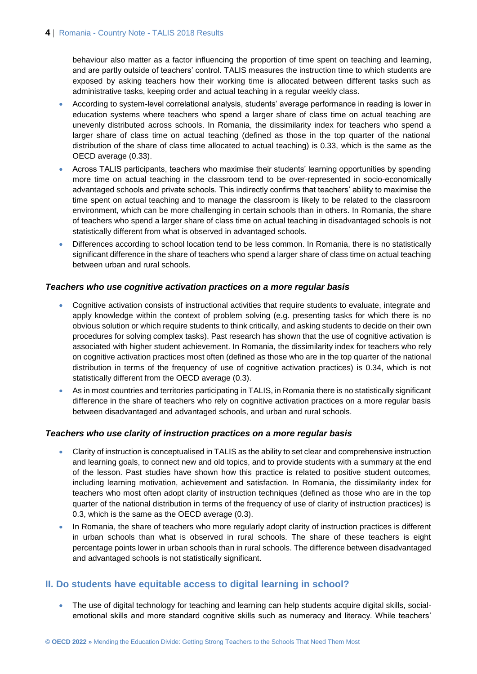#### 4 | Romania - Country Note - TALIS 2018 Results

behaviour also matter as a factor influencing the proportion of time spent on teaching and learning, and are partly outside of teachers' control. TALIS measures the instruction time to which students are exposed by asking teachers how their working time is allocated between different tasks such as administrative tasks, keeping order and actual teaching in a regular weekly class.

- According to system-level correlational analysis, students' average performance in reading is lower in education systems where teachers who spend a larger share of class time on actual teaching are unevenly distributed across schools. In Romania, the dissimilarity index for teachers who spend a larger share of class time on actual teaching (defined as those in the top quarter of the national distribution of the share of class time allocated to actual teaching) is 0.33, which is the same as the OECD average (0.33).
- Across TALIS participants, teachers who maximise their students' learning opportunities by spending more time on actual teaching in the classroom tend to be over-represented in socio-economically advantaged schools and private schools. This indirectly confirms that teachers' ability to maximise the time spent on actual teaching and to manage the classroom is likely to be related to the classroom environment, which can be more challenging in certain schools than in others. In Romania, the share of teachers who spend a larger share of class time on actual teaching in disadvantaged schools is not statistically different from what is observed in advantaged schools.
- Differences according to school location tend to be less common. In Romania, there is no statistically significant difference in the share of teachers who spend a larger share of class time on actual teaching between urban and rural schools.

#### *Teachers who use cognitive activation practices on a more regular basis*

- Cognitive activation consists of instructional activities that require students to evaluate, integrate and apply knowledge within the context of problem solving (e.g. presenting tasks for which there is no obvious solution or which require students to think critically, and asking students to decide on their own procedures for solving complex tasks). Past research has shown that the use of cognitive activation is associated with higher student achievement. In Romania, the dissimilarity index for teachers who rely on cognitive activation practices most often (defined as those who are in the top quarter of the national distribution in terms of the frequency of use of cognitive activation practices) is 0.34, which is not statistically different from the OECD average (0.3).
- As in most countries and territories participating in TALIS, in Romania there is no statistically significant difference in the share of teachers who rely on cognitive activation practices on a more regular basis between disadvantaged and advantaged schools, and urban and rural schools.

#### *Teachers who use clarity of instruction practices on a more regular basis*

- Clarity of instruction is conceptualised in TALIS as the ability to set clear and comprehensive instruction and learning goals, to connect new and old topics, and to provide students with a summary at the end of the lesson. Past studies have shown how this practice is related to positive student outcomes, including learning motivation, achievement and satisfaction. In Romania, the dissimilarity index for teachers who most often adopt clarity of instruction techniques (defined as those who are in the top quarter of the national distribution in terms of the frequency of use of clarity of instruction practices) is 0.3, which is the same as the OECD average (0.3).
- In Romania, the share of teachers who more regularly adopt clarity of instruction practices is different in urban schools than what is observed in rural schools. The share of these teachers is eight percentage points lower in urban schools than in rural schools. The difference between disadvantaged and advantaged schools is not statistically significant.

#### **II. Do students have equitable access to digital learning in school?**

• The use of digital technology for teaching and learning can help students acquire digital skills, socialemotional skills and more standard cognitive skills such as numeracy and literacy. While teachers'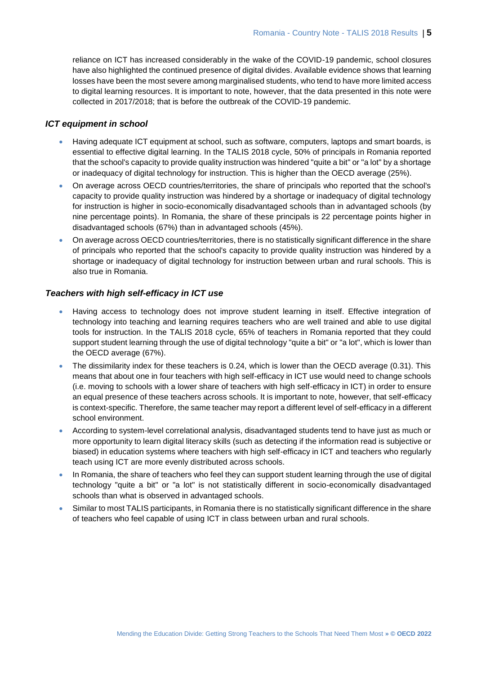reliance on ICT has increased considerably in the wake of the COVID-19 pandemic, school closures have also highlighted the continued presence of digital divides. Available evidence shows that learning losses have been the most severe among marginalised students, who tend to have more limited access to digital learning resources. It is important to note, however, that the data presented in this note were collected in 2017/2018; that is before the outbreak of the COVID-19 pandemic.

#### *ICT equipment in school*

- Having adequate ICT equipment at school, such as software, computers, laptops and smart boards, is essential to effective digital learning. In the TALIS 2018 cycle, 50% of principals in Romania reported that the school's capacity to provide quality instruction was hindered "quite a bit" or "a lot" by a shortage or inadequacy of digital technology for instruction. This is higher than the OECD average (25%).
- On average across OECD countries/territories, the share of principals who reported that the school's capacity to provide quality instruction was hindered by a shortage or inadequacy of digital technology for instruction is higher in socio-economically disadvantaged schools than in advantaged schools (by nine percentage points). In Romania, the share of these principals is 22 percentage points higher in disadvantaged schools (67%) than in advantaged schools (45%).
- On average across OECD countries/territories, there is no statistically significant difference in the share of principals who reported that the school's capacity to provide quality instruction was hindered by a shortage or inadequacy of digital technology for instruction between urban and rural schools. This is also true in Romania.

#### *Teachers with high self-efficacy in ICT use*

- Having access to technology does not improve student learning in itself. Effective integration of technology into teaching and learning requires teachers who are well trained and able to use digital tools for instruction. In the TALIS 2018 cycle, 65% of teachers in Romania reported that they could support student learning through the use of digital technology "quite a bit" or "a lot", which is lower than the OECD average (67%).
- The dissimilarity index for these teachers is 0.24, which is lower than the OECD average (0.31). This means that about one in four teachers with high self-efficacy in ICT use would need to change schools (i.e. moving to schools with a lower share of teachers with high self-efficacy in ICT) in order to ensure an equal presence of these teachers across schools. It is important to note, however, that self-efficacy is context-specific. Therefore, the same teacher may report a different level of self-efficacy in a different school environment.
- According to system-level correlational analysis, disadvantaged students tend to have just as much or more opportunity to learn digital literacy skills (such as detecting if the information read is subjective or biased) in education systems where teachers with high self-efficacy in ICT and teachers who regularly teach using ICT are more evenly distributed across schools.
- In Romania, the share of teachers who feel they can support student learning through the use of digital technology "quite a bit" or "a lot" is not statistically different in socio-economically disadvantaged schools than what is observed in advantaged schools.
- Similar to most TALIS participants, in Romania there is no statistically significant difference in the share of teachers who feel capable of using ICT in class between urban and rural schools.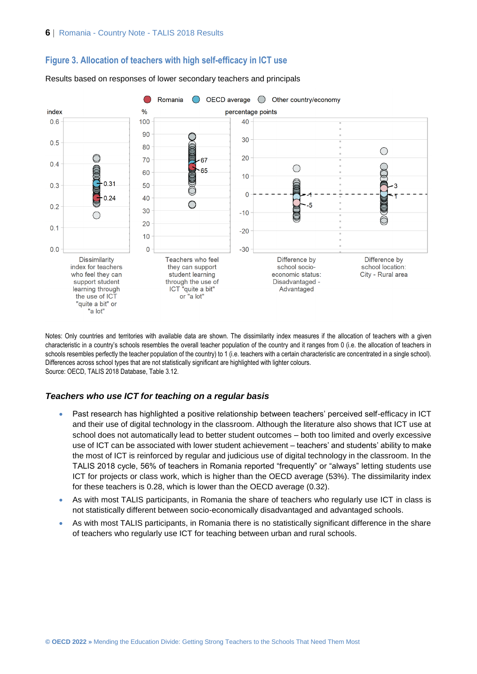



Results based on responses of lower secondary teachers and principals

Notes: Only countries and territories with available data are shown. The dissimilarity index measures if the allocation of teachers with a given characteristic in a country's schools resembles the overall teacher population of the country and it ranges from 0 (i.e. the allocation of teachers in schools resembles perfectly the teacher population of the country) to 1 (i.e. teachers with a certain characteristic are concentrated in a single school). Differences across school types that are not statistically significant are highlighted with lighter colours. Source: OECD, TALIS 2018 Database, Table 3.12.

#### *Teachers who use ICT for teaching on a regular basis*

- Past research has highlighted a positive relationship between teachers' perceived self-efficacy in ICT and their use of digital technology in the classroom. Although the literature also shows that ICT use at school does not automatically lead to better student outcomes – both too limited and overly excessive use of ICT can be associated with lower student achievement – teachers' and students' ability to make the most of ICT is reinforced by regular and judicious use of digital technology in the classroom. In the TALIS 2018 cycle, 56% of teachers in Romania reported "frequently" or "always" letting students use ICT for projects or class work, which is higher than the OECD average (53%). The dissimilarity index for these teachers is 0.28, which is lower than the OECD average (0.32).
- As with most TALIS participants, in Romania the share of teachers who regularly use ICT in class is not statistically different between socio-economically disadvantaged and advantaged schools.
- As with most TALIS participants, in Romania there is no statistically significant difference in the share of teachers who regularly use ICT for teaching between urban and rural schools.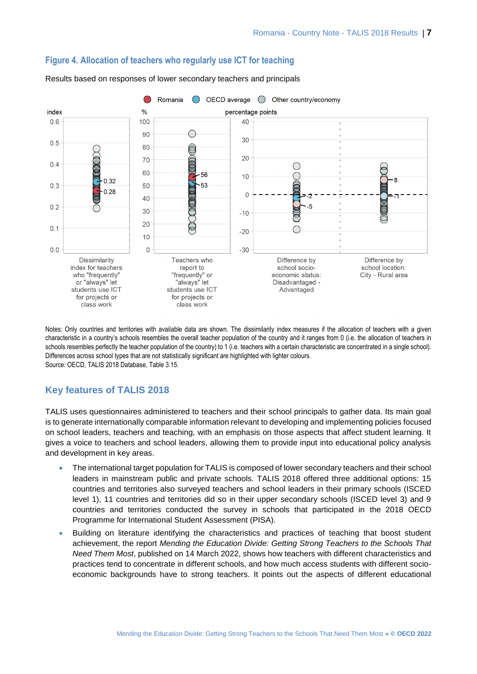![](_page_6_Figure_1.jpeg)

#### **Figure 4. Allocation of teachers who regularly use ICT for teaching**

class work class work

Results based on responses of lower secondary teachers and principals

Notes: Only countries and territories with available data are shown. The dissimilarity index measures if the allocation of teachers with a given characteristic in a country's schools resembles the overall teacher population of the country and it ranges from 0 (i.e. the allocation of teachers in schools resembles perfectly the teacher population of the country) to 1 (i.e. teachers with a certain characteristic are concentrated in a single school). Differences across school types that are not statistically significant are highlighted with lighter colours. Source: OECD, TALIS 2018 Database, Table 3.15.

### **Key features of TALIS 2018**

TALIS uses questionnaires administered to teachers and their school principals to gather data. Its main goal is to generate internationally comparable information relevant to developing and implementing policies focused on school leaders, teachers and teaching, with an emphasis on those aspects that affect student learning. It gives a voice to teachers and school leaders, allowing them to provide input into educational policy analysis and development in key areas.

- The international target population for TALIS is composed of lower secondary teachers and their school leaders in mainstream public and private schools. TALIS 2018 offered three additional options: 15 countries and territories also surveyed teachers and school leaders in their primary schools (ISCED level 1), 11 countries and territories did so in their upper secondary schools (ISCED level 3) and 9 countries and territories conducted the survey in schools that participated in the 2018 OECD Programme for International Student Assessment (PISA).
- Building on literature identifying the characteristics and practices of teaching that boost student achievement, the report *Mending the Education Divide: Getting Strong Teachers to the Schools That Need Them Most*, published on 14 March 2022, shows how teachers with different characteristics and practices tend to concentrate in different schools, and how much access students with different socioeconomic backgrounds have to strong teachers. It points out the aspects of different educational